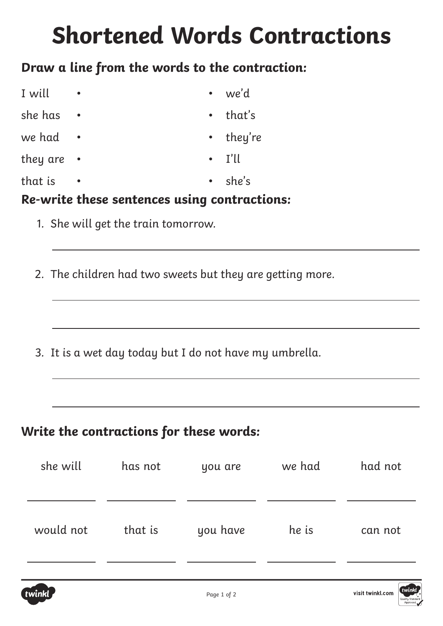# **Shortened Words Contractions**

### **Draw a line from the words to the contraction:**

| I will   |           | $\bullet$   | we'd          |
|----------|-----------|-------------|---------------|
| she has  | $\bullet$ | $\bullet$ . | that's        |
| we had   | $\bullet$ |             | • they're     |
| they are | $\bullet$ |             | $\cdot$ I'll  |
| that is  | $\bullet$ |             | $\cdot$ she's |

#### **Re-write these sentences using contractions:**

- 1. She will get the train tomorrow.
- 2. The children had two sweets but they are getting more.

3. It is a wet day today but I do not have my umbrella.

### **Write the contractions for these words:**

| she will  | has not | you are  | we had | had not |
|-----------|---------|----------|--------|---------|
| would not | that is | you have | he is  | can not |

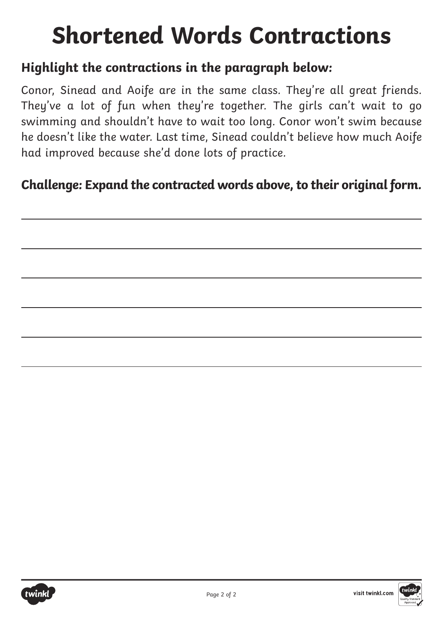# **Shortened Words Contractions**

### **Highlight the contractions in the paragraph below:**

Conor, Sinead and Aoife are in the same class. They're all great friends. They've a lot of fun when they're together. The girls can't wait to go swimming and shouldn't have to wait too long. Conor won't swim because he doesn't like the water. Last time, Sinead couldn't believe how much Aoife had improved because she'd done lots of practice.

### **Challenge: Expand the contracted words above, to their original form.**

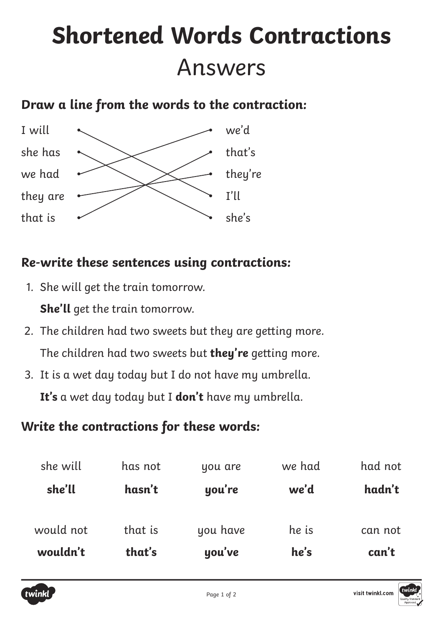# **Shortened Words Contractions** Answers

## **Draw a line from the words to the contraction:**



### **Re-write these sentences using contractions:**

- 1. She will get the train tomorrow. **She'll** get the train tomorrow.
- 2. The children had two sweets but they are getting more. The children had two sweets but **they're** getting more.
- 3. It is a wet day today but I do not have my umbrella.

**It's** a wet day today but I **don't** have my umbrella.

## **Write the contractions for these words:**

| wouldn't  | that's  | you've   | he's   | can't   |
|-----------|---------|----------|--------|---------|
| would not | that is | you have | he is  | can not |
| she'll    | hasn't  | you're   | we'd   | hadn't  |
| she will  | has not | you are  | we had | had not |